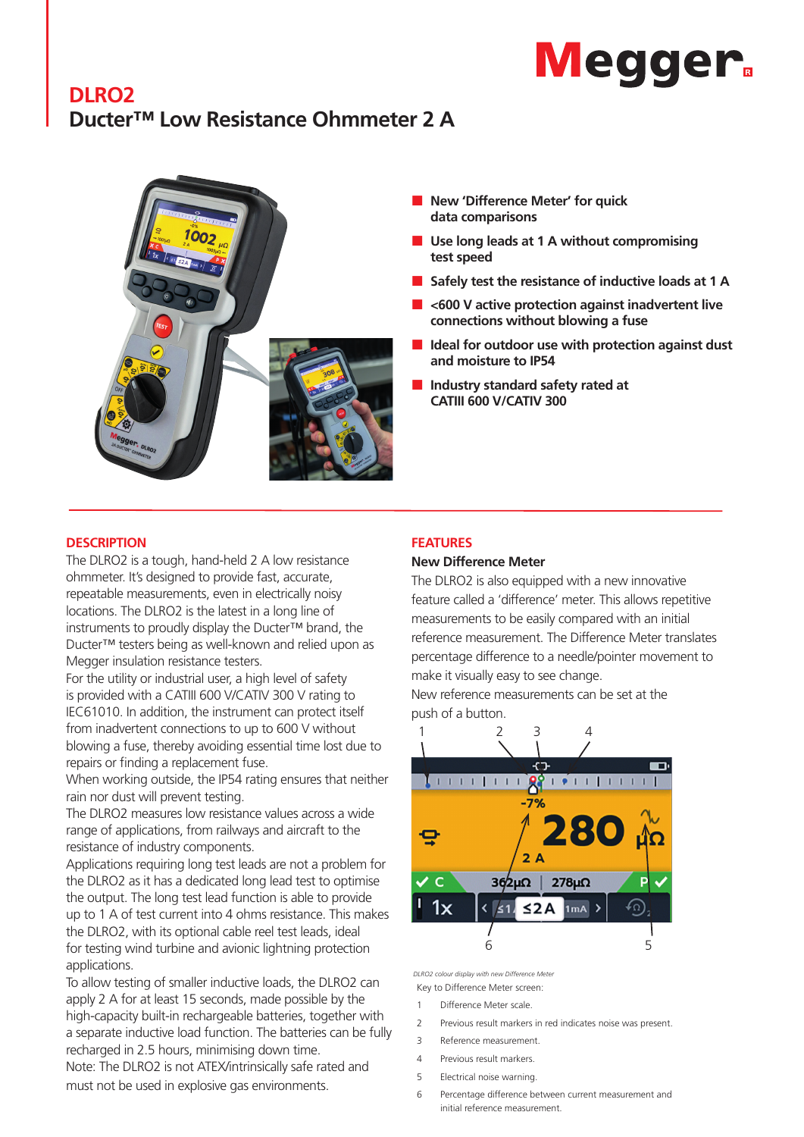# **Megger**

# **DLRO2 Ducter™ Low Resistance Ohmmeter 2 A**



- **New 'Difference Meter' for quick data comparisons**
- **Use long leads at 1 A without compromising test speed**
- Safely test the resistance of inductive loads at 1 A
- **<600 V active protection against inadvertent live connections without blowing a fuse**
- **Ideal for outdoor use with protection against dust and moisture to IP54**
- **Industry standard safety rated at CATIII 600 V/CATIV 300**

### **DESCRIPTION**

The DLRO2 is a tough, hand-held 2 A low resistance ohmmeter. It's designed to provide fast, accurate, repeatable measurements, even in electrically noisy locations. The DLRO2 is the latest in a long line of instruments to proudly display the Ducter™ brand, the Ducter™ testers being as well-known and relied upon as Megger insulation resistance testers.

For the utility or industrial user, a high level of safety is provided with a CATIII 600 V/CATIV 300 V rating to IEC61010. In addition, the instrument can protect itself from inadvertent connections to up to 600 V without blowing a fuse, thereby avoiding essential time lost due to repairs or finding a replacement fuse.

When working outside, the IP54 rating ensures that neither rain nor dust will prevent testing.

The DLRO2 measures low resistance values across a wide range of applications, from railways and aircraft to the resistance of industry components.

Applications requiring long test leads are not a problem for the DLRO2 as it has a dedicated long lead test to optimise the output. The long test lead function is able to provide up to 1 A of test current into 4 ohms resistance. This makes the DLRO2, with its optional cable reel test leads, ideal for testing wind turbine and avionic lightning protection applications.

To allow testing of smaller inductive loads, the DLRO2 can apply 2 A for at least 15 seconds, made possible by the high-capacity built-in rechargeable batteries, together with a separate inductive load function. The batteries can be fully recharged in 2.5 hours, minimising down time.

Note: The DLRO2 is not ATEX/intrinsically safe rated and must not be used in explosive gas environments.

## **FEATURES**

#### **New Difference Meter**

The DLRO2 is also equipped with a new innovative feature called a 'difference' meter. This allows repetitive measurements to be easily compared with an initial reference measurement. The Difference Meter translates percentage difference to a needle/pointer movement to make it visually easy to see change.

New reference measurements can be set at the push of a button.



*DLRO2 colour display with new Difference Meter*

- Key to Difference Meter screen:
- 1 Difference Meter scale.
- 2 Previous result markers in red indicates noise was present.
- 3 Reference measurement.
- 4 Previous result markers.
- 5 Electrical noise warning.
- 6 Percentage difference between current measurement and initial reference measurement.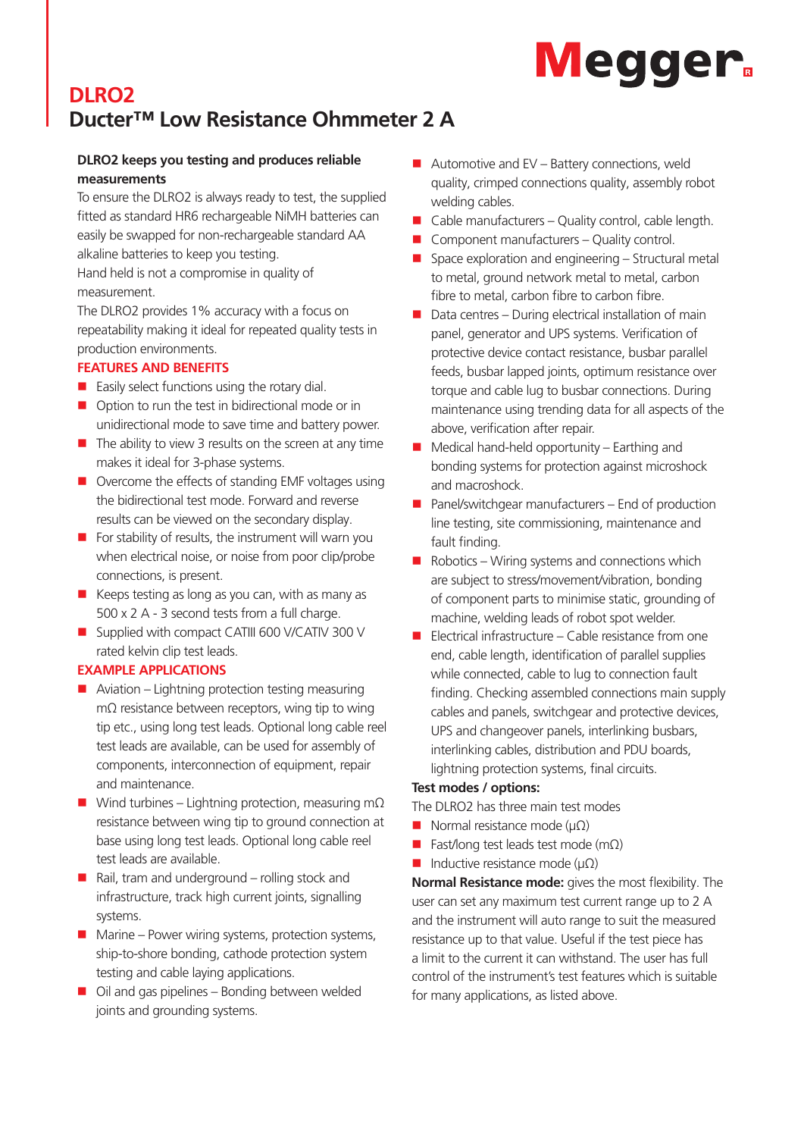# **Megger**

# **DLRO2 Ducter™ Low Resistance Ohmmeter 2 A**

# **DLRO2 keeps you testing and produces reliable measurements**

To ensure the DLRO2 is always ready to test, the supplied fitted as standard HR6 rechargeable NiMH batteries can easily be swapped for non-rechargeable standard AA alkaline batteries to keep you testing.

Hand held is not a compromise in quality of measurement.

The DLRO2 provides 1% accuracy with a focus on repeatability making it ideal for repeated quality tests in production environments.

# **FEATURES AND BENEFITS**

- $\blacksquare$  Easily select functions using the rotary dial.
- $\Box$  Option to run the test in bidirectional mode or in unidirectional mode to save time and battery power.
- $\blacksquare$  The ability to view 3 results on the screen at any time makes it ideal for 3-phase systems.
- $\blacksquare$  Overcome the effects of standing EMF voltages using the bidirectional test mode. Forward and reverse results can be viewed on the secondary display.
- $\blacksquare$  For stability of results, the instrument will warn you when electrical noise, or noise from poor clip/probe connections, is present.
- $\blacksquare$  Keeps testing as long as you can, with as many as 500 x 2 A - 3 second tests from a full charge.
- Supplied with compact CATIII 600 V/CATIV 300 V rated kelvin clip test leads.

# **EXAMPLE APPLICATIONS**

- $\blacksquare$  Aviation Lightning protection testing measuring mΩ resistance between receptors, wing tip to wing tip etc., using long test leads. Optional long cable reel test leads are available, can be used for assembly of components, interconnection of equipment, repair and maintenance.
- $\blacksquare$  Wind turbines Lightning protection, measuring mΩ resistance between wing tip to ground connection at base using long test leads. Optional long cable reel test leads are available.
- $\blacksquare$  Rail, tram and underground rolling stock and infrastructure, track high current joints, signalling systems.
- $\blacksquare$  Marine Power wiring systems, protection systems, ship-to-shore bonding, cathode protection system testing and cable laying applications.
- $\Box$  Oil and gas pipelines Bonding between welded joints and grounding systems.
- $\blacksquare$  Automotive and EV Battery connections, weld quality, crimped connections quality, assembly robot welding cables.
- $\Box$  Cable manufacturers Quality control, cable length.
- Component manufacturers Quality control.
- $\blacksquare$  Space exploration and engineering Structural metal to metal, ground network metal to metal, carbon fibre to metal, carbon fibre to carbon fibre.
- $\blacksquare$  Data centres During electrical installation of main panel, generator and UPS systems. Verification of protective device contact resistance, busbar parallel feeds, busbar lapped joints, optimum resistance over torque and cable lug to busbar connections. During maintenance using trending data for all aspects of the above, verification after repair.
- $\blacksquare$  Medical hand-held opportunity Earthing and bonding systems for protection against microshock and macroshock.
- $\blacksquare$  Panel/switchgear manufacturers End of production line testing, site commissioning, maintenance and fault finding.
- $\blacksquare$  Robotics Wiring systems and connections which are subject to stress/movement/vibration, bonding of component parts to minimise static, grounding of machine, welding leads of robot spot welder.
- $\blacksquare$  Electrical infrastructure Cable resistance from one end, cable length, identification of parallel supplies while connected, cable to lug to connection fault finding. Checking assembled connections main supply cables and panels, switchgear and protective devices, UPS and changeover panels, interlinking busbars, interlinking cables, distribution and PDU boards, lightning protection systems, final circuits.

# **Test modes / options:**

The DLRO2 has three main test modes

- Normal resistance mode ( $\mu\Omega$ )
- Fast/long test leads test mode (m $\Omega$ )
- $\blacksquare$  Inductive resistance mode (μΩ)

**Normal Resistance mode:** gives the most flexibility. The user can set any maximum test current range up to 2 A and the instrument will auto range to suit the measured resistance up to that value. Useful if the test piece has a limit to the current it can withstand. The user has full control of the instrument's test features which is suitable for many applications, as listed above.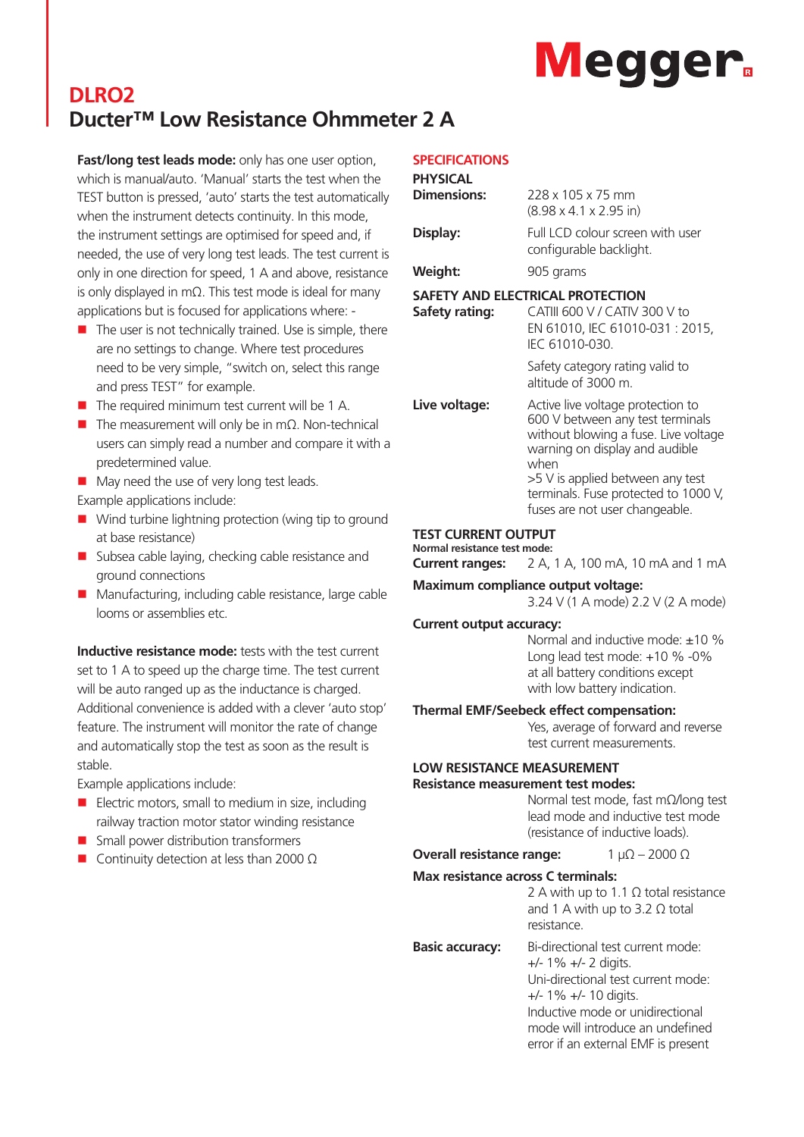# **Megger**

# **DLRO2 Ducter™ Low Resistance Ohmmeter 2 A**

**Fast/long test leads mode:** only has one user option, which is manual/auto. 'Manual' starts the test when the TEST button is pressed, 'auto' starts the test automatically when the instrument detects continuity. In this mode, the instrument settings are optimised for speed and, if needed, the use of very long test leads. The test current is only in one direction for speed, 1 A and above, resistance is only displayed in mΩ. This test mode is ideal for many applications but is focused for applications where: -

- $\blacksquare$  The user is not technically trained. Use is simple, there are no settings to change. Where test procedures need to be very simple, "switch on, select this range and press TEST" for example.
- $\blacksquare$  The required minimum test current will be 1 A.
- $\blacksquare$  The measurement will only be in mΩ. Non-technical users can simply read a number and compare it with a predetermined value.
- $\blacksquare$  May need the use of very long test leads. Example applications include:
- $\blacksquare$  Wind turbine lightning protection (wing tip to ground at base resistance)
- $\blacksquare$  Subsea cable laying, checking cable resistance and ground connections
- $\blacksquare$  Manufacturing, including cable resistance, large cable looms or assemblies etc.

**Inductive resistance mode:** tests with the test current set to 1 A to speed up the charge time. The test current will be auto ranged up as the inductance is charged. Additional convenience is added with a clever 'auto stop' feature. The instrument will monitor the rate of change and automatically stop the test as soon as the result is stable.

Example applications include:

- $\blacksquare$  Electric motors, small to medium in size, including railway traction motor stator winding resistance
- $\blacksquare$  Small power distribution transformers
- $\blacksquare$  Continuity detection at less than 2000 Ω

## **SPECIFICATIONS**

| ,                  |                                                                                                                                                                                                                                                                       |
|--------------------|-----------------------------------------------------------------------------------------------------------------------------------------------------------------------------------------------------------------------------------------------------------------------|
| <b>PHYSICAL</b>    |                                                                                                                                                                                                                                                                       |
| <b>Dimensions:</b> | 228 x 105 x 75 mm<br>$(8.98 \times 4.1 \times 2.95 \text{ in})$                                                                                                                                                                                                       |
| Display:           | Full LCD colour screen with user<br>configurable backlight.                                                                                                                                                                                                           |
| <b>Weight:</b>     | 905 grams                                                                                                                                                                                                                                                             |
| Safety rating:     | SAFETY AND ELECTRICAL PROTECTION<br>CATIII 600 V / CATIV 300 V to<br>EN 61010, IEC 61010-031 : 2015,<br>IEC 61010-030.                                                                                                                                                |
|                    | Safety category rating valid to<br>altitude of 3000 m.                                                                                                                                                                                                                |
| Live voltage:      | Active live voltage protection to<br>600 V between any test terminals<br>without blowing a fuse. Live voltage<br>warning on display and audible<br>when<br>>5 V is applied between any test<br>terminals. Fuse protected to 1000 V,<br>fuses are not user changeable. |

### **TEST CURRENT OUTPUT**

**Normal resistance test mode: Current ranges:** 2 A, 1 A, 100 mA, 10 mA and 1 mA

#### **Maximum compliance output voltage:**

3.24 V (1 A mode) 2.2 V (2 A mode)

#### **Current output accuracy:**

Normal and inductive mode: ±10 % Long lead test mode: +10 % -0% at all battery conditions except with low battery indication.

#### **Thermal EMF/Seebeck effect compensation:**

Yes, average of forward and reverse test current measurements.

# **LOW RESISTANCE MEASUREMENT**

#### **Resistance measurement test modes:**

Normal test mode, fast mΩ/long test lead mode and inductive test mode (resistance of inductive loads).

## **Overall resistance range:** 1 μΩ – 2000 Ω

#### **Max resistance across C terminals:**

2 A with up to 1.1 Ω total resistance and 1 A with up to 3.2  $\Omega$  total resistance.

### **Basic accuracy:** Bi-directional test current mode:

+/- 1% +/- 2 digits. Uni-directional test current mode: +/- 1% +/- 10 digits. Inductive mode or unidirectional mode will introduce an undefined error if an external EMF is present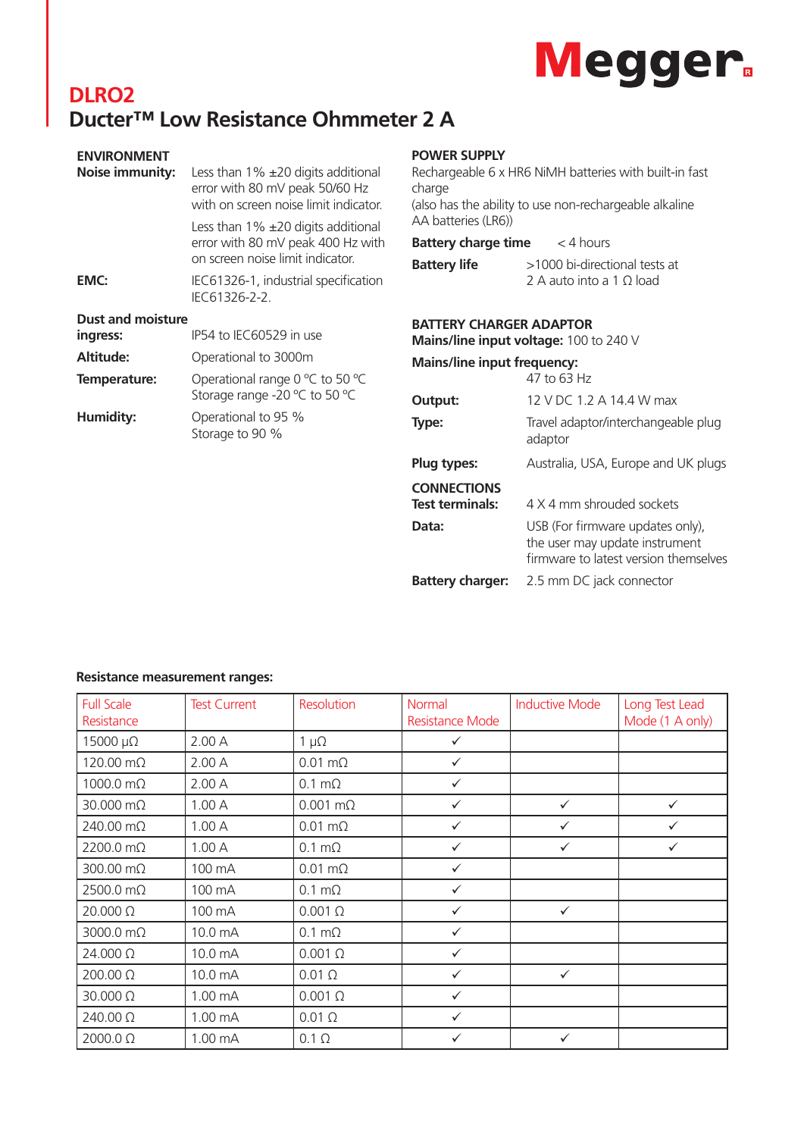# Megger.

# **DLRO2 Ducter™ Low Resistance Ohmmeter 2 A**

| <b>ENVIRONMENT</b>       |                                                                                                                       |
|--------------------------|-----------------------------------------------------------------------------------------------------------------------|
| Noise immunity:          | Less than $1\%$ $\pm 20$ digits additional<br>error with 80 mV peak 50/60 Hz<br>with on screen noise limit indicator. |
|                          | Less than $1\%$ $\pm 20$ digits additional<br>error with 80 mV peak 400 Hz with<br>on screen noise limit indicator.   |
| EMC:                     | IEC61326-1, industrial specification<br>IFC61326-2-2.                                                                 |
| <b>Dust and moisture</b> |                                                                                                                       |
| ingress:                 | IP54 to IEC60529 in use                                                                                               |
| Altitude:                | Operational to 3000m                                                                                                  |
| Temperature:             | Operational range 0 °C to 50 °C<br>Storage range -20 °C to 50 °C                                                      |
| Humidity:                | Operational to 95 %<br>Storage to 90 %                                                                                |
|                          |                                                                                                                       |
|                          |                                                                                                                       |

# **POWER SUPPLY**

| PUWER SUPPLY                             |                                                                  |
|------------------------------------------|------------------------------------------------------------------|
| charge                                   | Rechargeable 6 x HR6 NiMH batteries with built-in fast           |
| AA batteries (LR6))                      | (also has the ability to use non-rechargeable alkaline           |
| <b>Battery charge time</b> $\lt$ 4 hours |                                                                  |
| <b>Battery life</b>                      | >1000 bi-directional tests at<br>2 A auto into a 1 $\Omega$ load |
| <b>BATTERY CHARGER ADAPTOR</b>           | Mains/line input voltage: 100 to 240 V                           |
| <b>Mains/line input frequency:</b>       | 47 to 63 Hz                                                      |
|                                          |                                                                  |
| Output:                                  | 12 V DC 1.2 A 14.4 W max                                         |
| Type:                                    | Travel adaptor/interchangeable plug<br>adaptor                   |
| Plug types:                              | Australia, USA, Europe and UK plugs                              |
| <b>CONNECTIONS</b>                       |                                                                  |
| <b>Test terminals:</b>                   | 4 X 4 mm shrouded sockets                                        |

firmware to latest version themselves **Battery charger:** 2.5 mm DC jack connector

**Data:** USB (For firmware updates only),

the user may update instrument

# **Resistance measurement ranges:**

| <b>Full Scale</b><br>Resistance | <b>Test Current</b> | <b>Resolution</b>      | <b>Normal</b><br><b>Resistance Mode</b> | <b>Inductive Mode</b> | Long Test Lead<br>Mode (1 A only) |
|---------------------------------|---------------------|------------------------|-----------------------------------------|-----------------------|-----------------------------------|
| 15000 μΩ                        | 2.00A               | $1 \mu\Omega$          | $\checkmark$                            |                       |                                   |
| 120.00 mΩ                       | 2.00A               | $0.01 \text{ m}\Omega$ | $\checkmark$                            |                       |                                   |
| $1000.0 \text{ mA}$             | 2.00A               | $0.1 \text{ m}\Omega$  | $\checkmark$                            |                       |                                   |
| 30.000 mΩ                       | 1.00A               | $0.001$ m $\Omega$     | $\checkmark$                            | $\checkmark$          | $\checkmark$                      |
| 240.00 mΩ                       | 1.00A               | $0.01 \text{ m}\Omega$ | $\checkmark$                            | $\checkmark$          | $\checkmark$                      |
| 2200.0 mΩ                       | 1.00A               | $0.1 \text{ m}\Omega$  | $\checkmark$                            | $\checkmark$          | $\checkmark$                      |
| 300.00 mΩ                       | 100 mA              | $0.01 \text{ m}\Omega$ | $\checkmark$                            |                       |                                   |
| 2500.0 mΩ                       | 100 mA              | $0.1 \text{ m}\Omega$  | $\checkmark$                            |                       |                                   |
| 20.000 Ω                        | 100 mA              | $0.001\ \Omega$        | $\checkmark$                            | $\checkmark$          |                                   |
| 3000.0 mΩ                       | 10.0 mA             | $0.1 \text{ m}\Omega$  | $\checkmark$                            |                       |                                   |
| 24.000 Ω                        | 10.0 mA             | $0.001 \Omega$         | $\checkmark$                            |                       |                                   |
| 200.00 Ω                        | 10.0 mA             | $0.01 \Omega$          | $\checkmark$                            | $\checkmark$          |                                   |
| 30.000 Ω                        | 1.00 mA             | $0.001\ \Omega$        | $\checkmark$                            |                       |                                   |
| 240.00 Ω                        | 1.00 mA             | $0.01 \Omega$          | $\checkmark$                            |                       |                                   |
| 2000.0 Ω                        | 1.00 mA             | $0.1 \Omega$           | ✓                                       | $\checkmark$          |                                   |